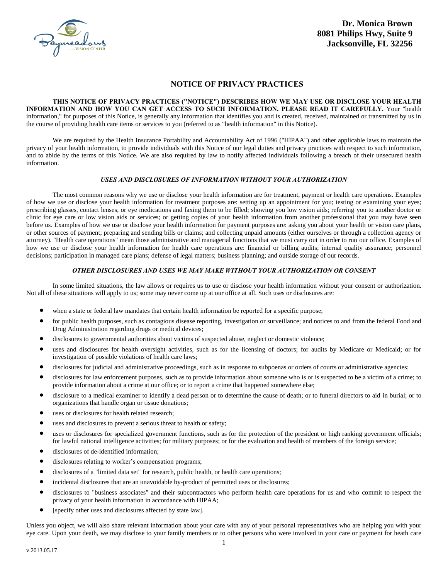

# **NOTICE OF PRIVACY PRACTICES**

**THIS NOTICE OF PRIVACY PRACTICES ("NOTICE") DESCRIBES HOW WE MAY USE OR DISCLOSE YOUR HEALTH INFORMATION AND HOW YOU CAN GET ACCESS TO SUCH INFORMATION. PLEASE READ IT CAREFULLY.** Your "health information," for purposes of this Notice, is generally any information that identifies you and is created, received, maintained or transmitted by us in the course of providing health care items or services to you (referred to as "health information" in this Notice).

We are required by the Health Insurance Portability and Accountability Act of 1996 ("HIPAA") and other applicable laws to maintain the privacy of your health information, to provide individuals with this Notice of our legal duties and privacy practices with respect to such information, and to abide by the terms of this Notice. We are also required by law to notify affected individuals following a breach of their unsecured health information.

## *USES AND DISCLOSURES OF INFORMATION WITHOUT YOUR AUTHORIZATION*

The most common reasons why we use or disclose your health information are for treatment, payment or health care operations. Examples of how we use or disclose your health information for treatment purposes are: setting up an appointment for you; testing or examining your eyes; prescribing glasses, contact lenses, or eye medications and faxing them to be filled; showing you low vision aids; referring you to another doctor or clinic for eye care or low vision aids or services; or getting copies of your health information from another professional that you may have seen before us. Examples of how we use or disclose your health information for payment purposes are: asking you about your health or vision care plans, or other sources of payment; preparing and sending bills or claims; and collecting unpaid amounts (either ourselves or through a collection agency or attorney). "Health care operations" mean those administrative and managerial functions that we must carry out in order to run our office. Examples of how we use or disclose your health information for health care operations are: financial or billing audits; internal quality assurance; personnel decisions; participation in managed care plans; defense of legal matters; business planning; and outside storage of our records.

## *OTHER DISCLOSURES AND USES WE MAY MAKE WITHOUT YOUR AUTHORIZATION OR CONSENT*

In some limited situations, the law allows or requires us to use or disclose your health information without your consent or authorization. Not all of these situations will apply to us; some may never come up at our office at all. Such uses or disclosures are:

- when a state or federal law mandates that certain health information be reported for a specific purpose;
- for public health purposes, such as contagious disease reporting, investigation or surveillance; and notices to and from the federal Food and Drug Administration regarding drugs or medical devices;
- disclosures to governmental authorities about victims of suspected abuse, neglect or domestic violence;
- uses and disclosures for health oversight activities, such as for the licensing of doctors; for audits by Medicare or Medicaid; or for investigation of possible violations of health care laws;
- disclosures for judicial and administrative proceedings, such as in response to subpoenas or orders of courts or administrative agencies;
- disclosures for law enforcement purposes, such as to provide information about someone who is or is suspected to be a victim of a crime; to provide information about a crime at our office; or to report a crime that happened somewhere else;
- disclosure to a medical examiner to identify a dead person or to determine the cause of death; or to funeral directors to aid in burial; or to organizations that handle organ or tissue donations;
- uses or disclosures for health related research;
- uses and disclosures to prevent a serious threat to health or safety;
- uses or disclosures for specialized government functions, such as for the protection of the president or high ranking government officials; for lawful national intelligence activities; for military purposes; or for the evaluation and health of members of the foreign service;
- disclosures of de-identified information;
- disclosures relating to worker's compensation programs;
- disclosures of a "limited data set" for research, public health, or health care operations;
- incidental disclosures that are an unavoidable by-product of permitted uses or disclosures;
- disclosures to "business associates" and their subcontractors who perform health care operations for us and who commit to respect the privacy of your health information in accordance with HIPAA;
- [specify other uses and disclosures affected by state law].

Unless you object, we will also share relevant information about your care with any of your personal representatives who are helping you with your eye care. Upon your death, we may disclose to your family members or to other persons who were involved in your care or payment for heath care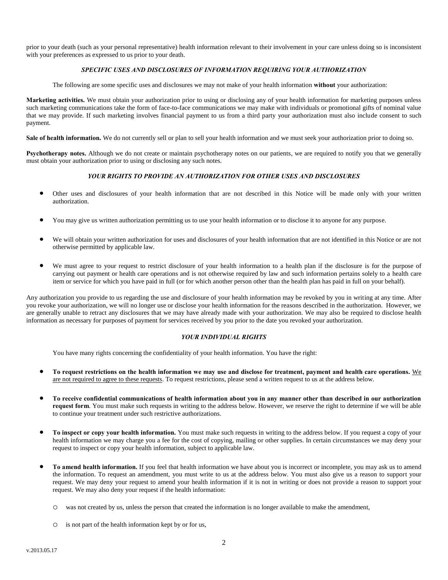prior to your death (such as your personal representative) health information relevant to their involvement in your care unless doing so is inconsistent with your preferences as expressed to us prior to your death.

## *SPECIFIC USES AND DISCLOSURES OF INFORMATION REQUIRING YOUR AUTHORIZATION*

The following are some specific uses and disclosures we may not make of your health information **without** your authorization:

**Marketing activities.** We must obtain your authorization prior to using or disclosing any of your health information for marketing purposes unless such marketing communications take the form of face-to-face communications we may make with individuals or promotional gifts of nominal value that we may provide. If such marketing involves financial payment to us from a third party your authorization must also include consent to such payment.

Sale of health information. We do not currently sell or plan to sell your health information and we must seek your authorization prior to doing so.

**Psychotherapy notes.** Although we do not create or maintain psychotherapy notes on our patients, we are required to notify you that we generally must obtain your authorization prior to using or disclosing any such notes.

### *YOUR RIGHTS TO PROVIDE AN AUTHORIZATION FOR OTHER USES AND DISCLOSURES*

- Other uses and disclosures of your health information that are not described in this Notice will be made only with your written authorization.
- You may give us written authorization permitting us to use your health information or to disclose it to anyone for any purpose.
- We will obtain your written authorization for uses and disclosures of your health information that are not identified in this Notice or are not otherwise permitted by applicable law.
- We must agree to your request to restrict disclosure of your health information to a health plan if the disclosure is for the purpose of carrying out payment or health care operations and is not otherwise required by law and such information pertains solely to a health care item or service for which you have paid in full (or for which another person other than the health plan has paid in full on your behalf).

Any authorization you provide to us regarding the use and disclosure of your health information may be revoked by you in writing at any time. After you revoke your authorization, we will no longer use or disclose your health information for the reasons described in the authorization. However, we are generally unable to retract any disclosures that we may have already made with your authorization. We may also be required to disclose health information as necessary for purposes of payment for services received by you prior to the date you revoked your authorization.

### *YOUR INDIVIDUAL RIGHTS*

You have many rights concerning the confidentiality of your health information. You have the right:

- **To request restrictions on the health information we may use and disclose for treatment, payment and health care operations.** We are not required to agree to these requests. To request restrictions, please send a written request to us at the address below.
- **To receive confidential communications of health information about you in any manner other than described in our authorization request form**. You must make such requests in writing to the address below. However, we reserve the right to determine if we will be able to continue your treatment under such restrictive authorizations.
- **To inspect or copy your health information.** You must make such requests in writing to the address below. If you request a copy of your health information we may charge you a fee for the cost of copying, mailing or other supplies. In certain circumstances we may deny your request to inspect or copy your health information, subject to applicable law.
- **To amend health information.** If you feel that health information we have about you is incorrect or incomplete, you may ask us to amend the information. To request an amendment, you must write to us at the address below. You must also give us a reason to support your request. We may deny your request to amend your health information if it is not in writing or does not provide a reason to support your request. We may also deny your request if the health information:
	- o was not created by us, unless the person that created the information is no longer available to make the amendment,
	- o is not part of the health information kept by or for us,